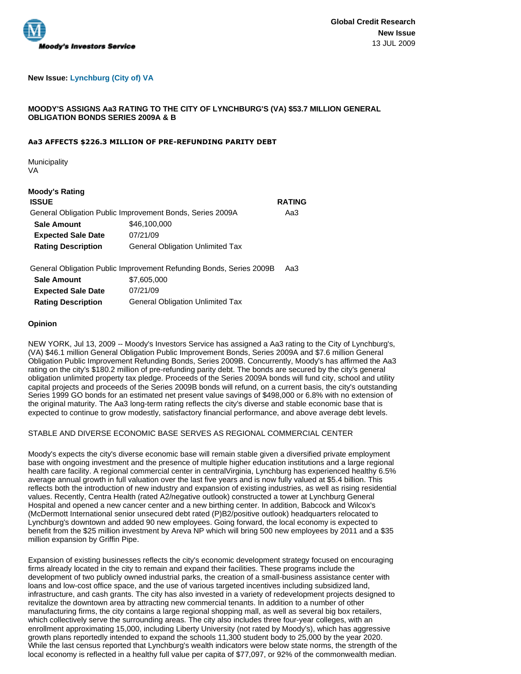

# **New Issue: Lynchburg (City of) VA**

# **MOODY'S ASSIGNS Aa3 RATING TO THE CITY OF LYNCHBURG'S (VA) \$53.7 MILLION GENERAL OBLIGATION BONDS SERIES 2009A & B**

#### **Aa3 AFFECTS \$226.3 MILLION OF PRE-REFUNDING PARITY DEBT**

**Municipality** VA

# **Moody's Rating**

| <b>ISSUE</b>                                              |                                         | <b>RATING</b> |
|-----------------------------------------------------------|-----------------------------------------|---------------|
| General Obligation Public Improvement Bonds, Series 2009A |                                         | Aa3           |
| <b>Sale Amount</b>                                        | \$46,100,000                            |               |
| <b>Expected Sale Date</b>                                 | 07/21/09                                |               |
| <b>Rating Description</b>                                 | <b>General Obligation Unlimited Tax</b> |               |
|                                                           |                                         |               |

General Obligation Public Improvement Refunding Bonds, Series 2009B Aa3

| <b>Sale Amount</b>        | \$7,605,000                             |
|---------------------------|-----------------------------------------|
| <b>Expected Sale Date</b> | 07/21/09                                |
| <b>Rating Description</b> | <b>General Obligation Unlimited Tax</b> |

#### **Opinion**

NEW YORK, Jul 13, 2009 -- Moody's Investors Service has assigned a Aa3 rating to the City of Lynchburg's, (VA) \$46.1 million General Obligation Public Improvement Bonds, Series 2009A and \$7.6 million General Obligation Public Improvement Refunding Bonds, Series 2009B. Concurrently, Moody's has affirmed the Aa3 rating on the city's \$180.2 million of pre-refunding parity debt. The bonds are secured by the city's general obligation unlimited property tax pledge. Proceeds of the Series 2009A bonds will fund city, school and utility capital projects and proceeds of the Series 2009B bonds will refund, on a current basis, the city's outstanding Series 1999 GO bonds for an estimated net present value savings of \$498,000 or 6.8% with no extension of the original maturity. The Aa3 long-term rating reflects the city's diverse and stable economic base that is expected to continue to grow modestly, satisfactory financial performance, and above average debt levels.

# STABLE AND DIVERSE ECONOMIC BASE SERVES AS REGIONAL COMMERCIAL CENTER

Moody's expects the city's diverse economic base will remain stable given a diversified private employment base with ongoing investment and the presence of multiple higher education institutions and a large regional health care facility. A regional commercial center in centralVirginia, Lynchburg has experienced healthy 6.5% average annual growth in full valuation over the last five years and is now fully valued at \$5.4 billion. This reflects both the introduction of new industry and expansion of existing industries, as well as rising residential values. Recently, Centra Health (rated A2/negative outlook) constructed a tower at Lynchburg General Hospital and opened a new cancer center and a new birthing center. In addition, Babcock and Wilcox's (McDermott International senior unsecured debt rated (P)B2/positive outlook) headquarters relocated to Lynchburg's downtown and added 90 new employees. Going forward, the local economy is expected to benefit from the \$25 million investment by Areva NP which will bring 500 new employees by 2011 and a \$35 million expansion by Griffin Pipe.

Expansion of existing businesses reflects the city's economic development strategy focused on encouraging firms already located in the city to remain and expand their facilities. These programs include the development of two publicly owned industrial parks, the creation of a small-business assistance center with loans and low-cost office space, and the use of various targeted incentives including subsidized land, infrastructure, and cash grants. The city has also invested in a variety of redevelopment projects designed to revitalize the downtown area by attracting new commercial tenants. In addition to a number of other manufacturing firms, the city contains a large regional shopping mall, as well as several big box retailers, which collectively serve the surrounding areas. The city also includes three four-year colleges, with an enrollment approximating 15,000, including Liberty University (not rated by Moody's), which has aggressive growth plans reportedly intended to expand the schools 11,300 student body to 25,000 by the year 2020. While the last census reported that Lynchburg's wealth indicators were below state norms, the strength of the local economy is reflected in a healthy full value per capita of \$77,097, or 92% of the commonwealth median.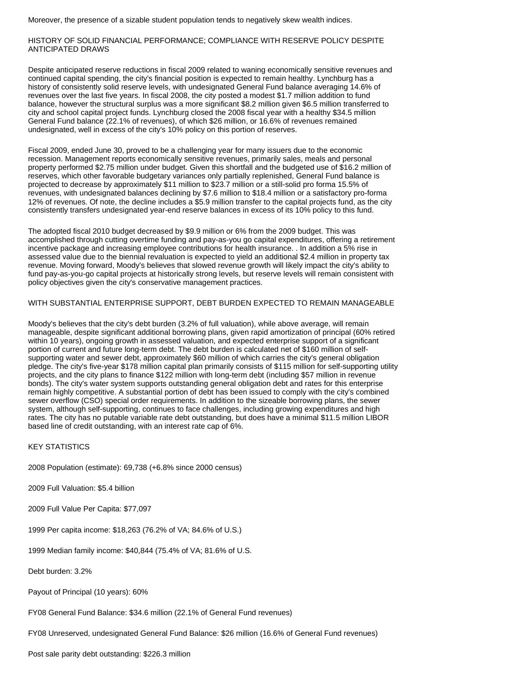Moreover, the presence of a sizable student population tends to negatively skew wealth indices.

## HISTORY OF SOLID FINANCIAL PERFORMANCE; COMPLIANCE WITH RESERVE POLICY DESPITE ANTICIPATED DRAWS

Despite anticipated reserve reductions in fiscal 2009 related to waning economically sensitive revenues and continued capital spending, the city's financial position is expected to remain healthy. Lynchburg has a history of consistently solid reserve levels, with undesignated General Fund balance averaging 14.6% of revenues over the last five years. In fiscal 2008, the city posted a modest \$1.7 million addition to fund balance, however the structural surplus was a more significant \$8.2 million given \$6.5 million transferred to city and school capital project funds. Lynchburg closed the 2008 fiscal year with a healthy \$34.5 million General Fund balance (22.1% of revenues), of which \$26 million, or 16.6% of revenues remained undesignated, well in excess of the city's 10% policy on this portion of reserves.

Fiscal 2009, ended June 30, proved to be a challenging year for many issuers due to the economic recession. Management reports economically sensitive revenues, primarily sales, meals and personal property performed \$2.75 million under budget. Given this shortfall and the budgeted use of \$16.2 million of reserves, which other favorable budgetary variances only partially replenished, General Fund balance is projected to decrease by approximately \$11 million to \$23.7 million or a still-solid pro forma 15.5% of revenues, with undesignated balances declining by \$7.6 million to \$18.4 million or a satisfactory pro-forma 12% of revenues. Of note, the decline includes a \$5.9 million transfer to the capital projects fund, as the city consistently transfers undesignated year-end reserve balances in excess of its 10% policy to this fund.

The adopted fiscal 2010 budget decreased by \$9.9 million or 6% from the 2009 budget. This was accomplished through cutting overtime funding and pay-as-you go capital expenditures, offering a retirement incentive package and increasing employee contributions for health insurance. . In addition a 5% rise in assessed value due to the biennial revaluation is expected to yield an additional \$2.4 million in property tax revenue. Moving forward, Moody's believes that slowed revenue growth will likely impact the city's ability to fund pay-as-you-go capital projects at historically strong levels, but reserve levels will remain consistent with policy objectives given the city's conservative management practices.

#### WITH SUBSTANTIAL ENTERPRISE SUPPORT, DEBT BURDEN EXPECTED TO REMAIN MANAGEABLE

Moody's believes that the city's debt burden (3.2% of full valuation), while above average, will remain manageable, despite significant additional borrowing plans, given rapid amortization of principal (60% retired within 10 years), ongoing growth in assessed valuation, and expected enterprise support of a significant portion of current and future long-term debt. The debt burden is calculated net of \$160 million of selfsupporting water and sewer debt, approximately \$60 million of which carries the city's general obligation pledge. The city's five-year \$178 million capital plan primarily consists of \$115 million for self-supporting utility projects, and the city plans to finance \$122 million with long-term debt (including \$57 million in revenue bonds). The city's water system supports outstanding general obligation debt and rates for this enterprise remain highly competitive. A substantial portion of debt has been issued to comply with the city's combined sewer overflow (CSO) special order requirements. In addition to the sizeable borrowing plans, the sewer system, although self-supporting, continues to face challenges, including growing expenditures and high rates. The city has no putable variable rate debt outstanding, but does have a minimal \$11.5 million LIBOR based line of credit outstanding, with an interest rate cap of 6%.

# KEY STATISTICS

2008 Population (estimate): 69,738 (+6.8% since 2000 census)

2009 Full Valuation: \$5.4 billion

2009 Full Value Per Capita: \$77,097

1999 Per capita income: \$18,263 (76.2% of VA; 84.6% of U.S.)

1999 Median family income: \$40,844 (75.4% of VA; 81.6% of U.S.

Debt burden: 3.2%

Payout of Principal (10 years): 60%

FY08 General Fund Balance: \$34.6 million (22.1% of General Fund revenues)

FY08 Unreserved, undesignated General Fund Balance: \$26 million (16.6% of General Fund revenues)

Post sale parity debt outstanding: \$226.3 million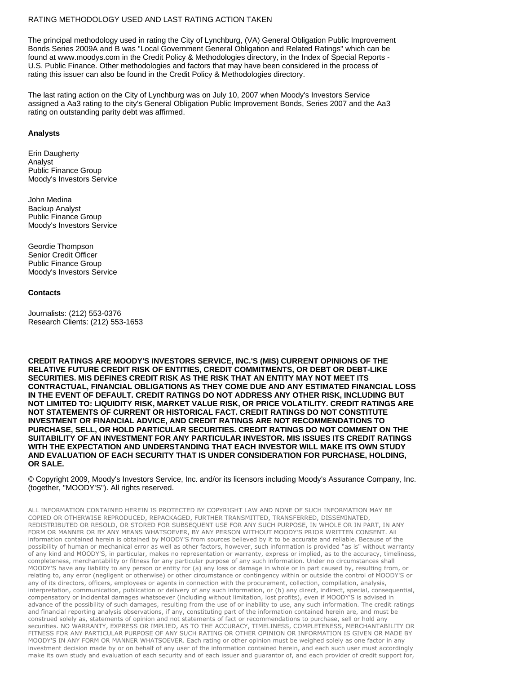# RATING METHODOLOGY USED AND LAST RATING ACTION TAKEN

The principal methodology used in rating the City of Lynchburg, (VA) General Obligation Public Improvement Bonds Series 2009A and B was "Local Government General Obligation and Related Ratings" which can be found at www.moodys.com in the Credit Policy & Methodologies directory, in the Index of Special Reports - U.S. Public Finance. Other methodologies and factors that may have been considered in the process of rating this issuer can also be found in the Credit Policy & Methodologies directory.

The last rating action on the City of Lynchburg was on July 10, 2007 when Moody's Investors Service assigned a Aa3 rating to the city's General Obligation Public Improvement Bonds, Series 2007 and the Aa3 rating on outstanding parity debt was affirmed.

#### **Analysts**

Erin Daugherty Analyst Public Finance Group Moody's Investors Service

John Medina Backup Analyst Public Finance Group Moody's Investors Service

Geordie Thompson Senior Credit Officer Public Finance Group Moody's Investors Service

#### **Contacts**

Journalists: (212) 553-0376 Research Clients: (212) 553-1653

**CREDIT RATINGS ARE MOODY'S INVESTORS SERVICE, INC.'S (MIS) CURRENT OPINIONS OF THE RELATIVE FUTURE CREDIT RISK OF ENTITIES, CREDIT COMMITMENTS, OR DEBT OR DEBT-LIKE SECURITIES. MIS DEFINES CREDIT RISK AS THE RISK THAT AN ENTITY MAY NOT MEET ITS CONTRACTUAL, FINANCIAL OBLIGATIONS AS THEY COME DUE AND ANY ESTIMATED FINANCIAL LOSS IN THE EVENT OF DEFAULT. CREDIT RATINGS DO NOT ADDRESS ANY OTHER RISK, INCLUDING BUT NOT LIMITED TO: LIQUIDITY RISK, MARKET VALUE RISK, OR PRICE VOLATILITY. CREDIT RATINGS ARE NOT STATEMENTS OF CURRENT OR HISTORICAL FACT. CREDIT RATINGS DO NOT CONSTITUTE INVESTMENT OR FINANCIAL ADVICE, AND CREDIT RATINGS ARE NOT RECOMMENDATIONS TO PURCHASE, SELL, OR HOLD PARTICULAR SECURITIES. CREDIT RATINGS DO NOT COMMENT ON THE SUITABILITY OF AN INVESTMENT FOR ANY PARTICULAR INVESTOR. MIS ISSUES ITS CREDIT RATINGS WITH THE EXPECTATION AND UNDERSTANDING THAT EACH INVESTOR WILL MAKE ITS OWN STUDY AND EVALUATION OF EACH SECURITY THAT IS UNDER CONSIDERATION FOR PURCHASE, HOLDING, OR SALE.**

© Copyright 2009, Moody's Investors Service, Inc. and/or its licensors including Moody's Assurance Company, Inc. (together, "MOODY'S"). All rights reserved.

ALL INFORMATION CONTAINED HEREIN IS PROTECTED BY COPYRIGHT LAW AND NONE OF SUCH INFORMATION MAY BE COPIED OR OTHERWISE REPRODUCED, REPACKAGED, FURTHER TRANSMITTED, TRANSFERRED, DISSEMINATED, REDISTRIBUTED OR RESOLD, OR STORED FOR SUBSEQUENT USE FOR ANY SUCH PURPOSE, IN WHOLE OR IN PART, IN ANY FORM OR MANNER OR BY ANY MEANS WHATSOEVER, BY ANY PERSON WITHOUT MOODY'S PRIOR WRITTEN CONSENT. All information contained herein is obtained by MOODY'S from sources believed by it to be accurate and reliable. Because of the possibility of human or mechanical error as well as other factors, however, such information is provided "as is" without warranty of any kind and MOODY'S, in particular, makes no representation or warranty, express or implied, as to the accuracy, timeliness, completeness, merchantability or fitness for any particular purpose of any such information. Under no circumstances shall MOODY'S have any liability to any person or entity for (a) any loss or damage in whole or in part caused by, resulting from, or relating to, any error (negligent or otherwise) or other circumstance or contingency within or outside the control of MOODY'S or any of its directors, officers, employees or agents in connection with the procurement, collection, compilation, analysis, interpretation, communication, publication or delivery of any such information, or (b) any direct, indirect, special, consequential, compensatory or incidental damages whatsoever (including without limitation, lost profits), even if MOODY'S is advised in advance of the possibility of such damages, resulting from the use of or inability to use, any such information. The credit ratings and financial reporting analysis observations, if any, constituting part of the information contained herein are, and must be construed solely as, statements of opinion and not statements of fact or recommendations to purchase, sell or hold any securities. NO WARRANTY, EXPRESS OR IMPLIED, AS TO THE ACCURACY, TIMELINESS, COMPLETENESS, MERCHANTABILITY OR FITNESS FOR ANY PARTICULAR PURPOSE OF ANY SUCH RATING OR OTHER OPINION OR INFORMATION IS GIVEN OR MADE BY MOODY'S IN ANY FORM OR MANNER WHATSOEVER. Each rating or other opinion must be weighed solely as one factor in any investment decision made by or on behalf of any user of the information contained herein, and each such user must accordingly make its own study and evaluation of each security and of each issuer and guarantor of, and each provider of credit support for,